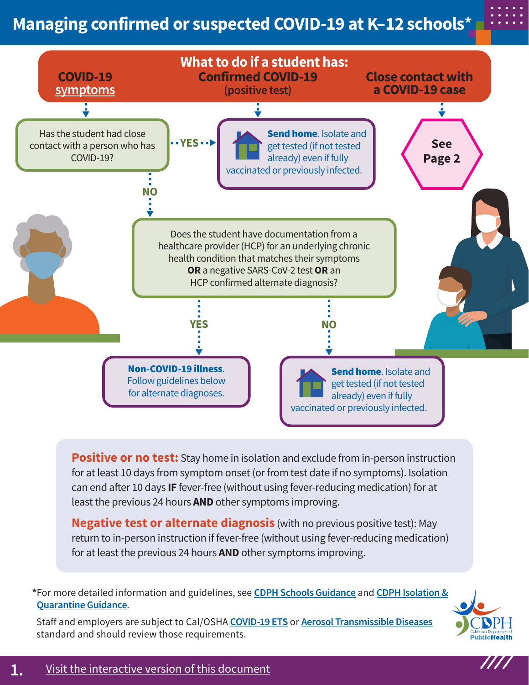## **Managing confirmed or suspected COVID-19 at K–12 schools\***



**Positive or no test:** Stay home in isolation and exclude from in-person instruction for at least 10 days from symptom onset (or from test date if no symptoms). Isolation can end after 10 days **IF** fever-free (without using fever-reducing medication) for at least the previous 24 hours **AND** other symptoms improving.

**Negative test or alternate diagnosis** (with no previous positive test): May return to in-person instruction if fever-free (without using fever-reducing medication) for at least the previous 24 hours **AND** other symptoms improving.

**\***For more detailed information and guidelines, see **[CDPH Schools Guidance](https://www.cdph.ca.gov/Programs/CID/DCDC/Pages/COVID-19/K-12-Guidance-2021-22-School-Year.aspx)** and **[CDPH Isolation &](https://www.cdph.ca.gov/Programs/CID/DCDC/Pages/COVID-19/Guidance-on-Isolation-and-Quarantine-for-COVID-19-Contact-Tracing.aspx) [Quarantine Guidance](https://www.cdph.ca.gov/Programs/CID/DCDC/Pages/COVID-19/Guidance-on-Isolation-and-Quarantine-for-COVID-19-Contact-Tracing.aspx)**.

Staff and employers are subject to Cal/OSHA **[COVID-19 ETS](https://www.dir.ca.gov/dosh/coronavirus/ETS.html)** or **[Aerosol Transmissible Diseases](https://www.dir.ca.gov/title8/5199.html)** standard and should review those requirements.



////